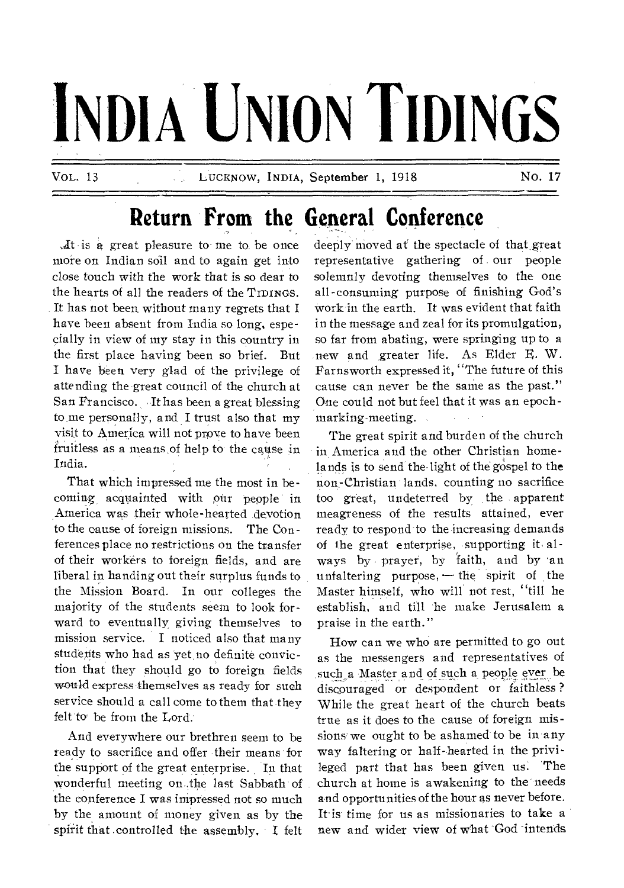# **INDIA UNION TIDINGS**

Vol— 13 **LUCKNOW, INDIA,** September 1, 1918 No. 17

## **Return From the General Conference**

 $\mathcal{M}$  is a great pleasure to me to be once more on Indian soil and to again get into close touch with the work that is so dear to the hearts of all the readers of the **TIDINGS**. It has not been. without many regrets that I have been absent from India so long, especially in view of my stay in this country in the first place having been so brief. But I have been very glad of the privilege of attending the great council of the church at San Francisco. It has been a great blessing tome personally, and I trust also that my visit to America will not prove to have been fruitless as a means of help to the cause in India.

That which impressed me the most in becoming, acquainted with our pepple in ,America was their whole-hearted devotion to the cause of foreign missions. The Conferences place no restrictions on the transfer of their workers to foreign fields, and are liberal in handing out their surplus funds to the Mission Board. In our colleges the majority of the students seem to look forward to eventually giving themselves to mission service. I noticed also that many students who had as yet,no definite conviction that they should go to foreign fields would express themselves as ready for such service should a call come to them that they felt to' be from the Lord:

And everywhere our brethren seem to be ready to sacrifice and offer their means for the support of the great enterprise. In that wonderful meeting on..the last Sabbath of the conference I was impressed not so much by the amount of money given as by the spirit that controlled the assembly, I felt deeply moved at the spectacle of that great representative gathering of our people solemnly devoting themselves to the one all-consuming purpose of finishing God's work in the earth. It was evident that faith in the message and zeal for its promulgation, so far from abating, were springing up to a new and greater life. As Elder E. W. Farnsworth expressed it, 'The future of this cause can never be the same as the past." One could not but feel that it was an epochmarking-meeting.

The great spirit and burden of the church in America and the other Christian homelands is to send the-light of the gospel to the non-Christian lands, counting no sacrifice too great, undeterred by the apparent meagreness of the results attained, ever ready to respond to the increasing demands of ihe great enterprise, supporting it• always by prayer, by faith, and by 'an unfaltering purpose,  $-$  the spirit of the Master himself, who will not rest, "till he establish, and till he make Jerusalem a praise in the earth."

How can we who are permitted to go out as the messengers and representatives of such a Master and of such a people ever be discouraged or despondent or faithless ? While the great heart of the church beats true as it does to the cause of foreign missions we ought to be ashamed to be in any way faltering or half-hearted in the privileged part that has been given us: The church at home is awakening to the needs and opportunities of the hour as never before. It is time for us as missionaries to take a new and wider view of what God intends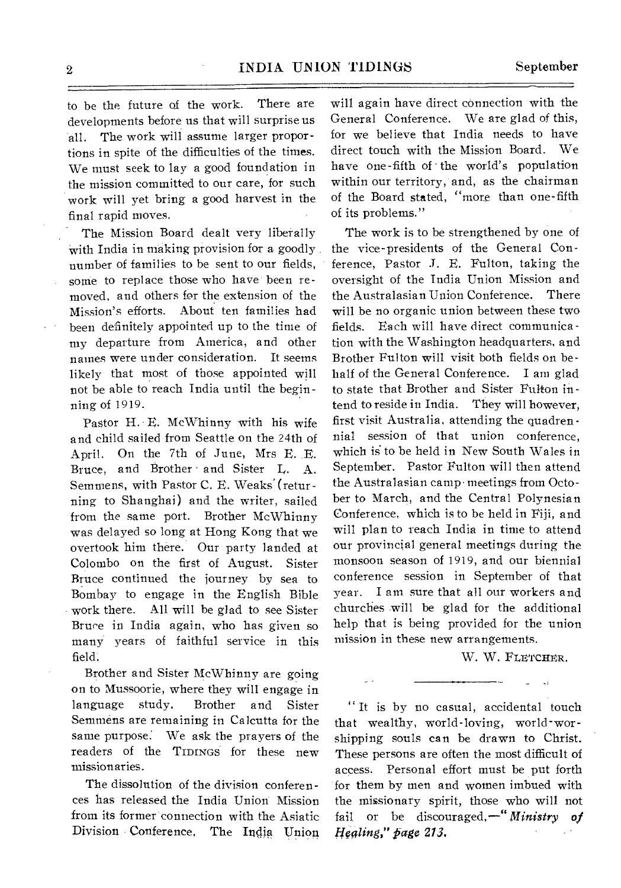to be the future of the work. There are developments before us that will surprise us 'all. The work will assume larger proportions in spite of the difficulties of the times. We must seek to lay a good foundation in the mission committed to our care, for such work will yet bring a good harvest in the final rapid moves.

The Mission Board dealt very liberally with India in making provision for a goodly number of families to be sent to our fields, some to replace those who have been removed, and others for the extension of the Mission's efforts. About ten families had been definitely appointed up to the time of my departure from America, and other names were under consideration. It seems likely that most of those appointed will not be able to reach India until the beginning of 1919.

Pastor H. E. McWhinny with his wife and child sailed from Seattle on the 24th of April. On the 7th of June, Mrs E. E. Bruce, and Brother and Sister L. A. Semmens, with Pastor C. E. Weaks' (returning to Shanghai) and the writer, sailed from the same port. Brother McWhinny was delayed so long at Hong Kong that we overtook him there. Our party landed at Colombo on the first of August. Sister Bruce continued the journey by sea to Bombay to engage in the English Bible work there. All will he glad to see Sister Bruce in India again, who has given so many years of faithful service in this field.

Brother and Sister McWhinny are going on to Mussoorie, where they will engage in language study. Brother and Sister Semmens are remaining in Calcutta for the same purpose: We ask the prayers of the readers of the TIDINGS for these new missionaries.

The dissolution of the division conferences has released the India Union Mission from its former connection with the Asiatic Division Conference, The India. Union

will again have direct connection with the General Conference. We are glad of this, for we believe that India needs to have direct touch with the Mission Board. We have one-fifth of the world's population within our territory, and, as the chairman of the Board stated, "more than one-fifth of its problems."

The work is to be strengthened by one of the vice-presidents of the General Conference, Pastor J. E. Fulton, taking the oversight of the India Union Mission and the Australasian Union Conference. There will be no organic union between these two fields. Each will have direct communication with the Washington headquarters, and Brother Fulton will visit both fields on behalf of the General Conference. I am glad to state that Brother and Sister Fulton intend to reside in India. They will however, first visit Australia, attending the quadrennial session of that union conference, which is to be held in New South Wales in September. Pastor Fulton will then attend the Australasian camp- meetings from October to March, and the Central Polynesian Conference, which is to be held in Fiji, and will plan to reach India in time to attend our provincial general meetings during the monsoon season of 1919, and our biennial conference session in September of that year. I am sure that all our workers and churches will be glad for the additional help that is being provided for the union mission in these new arrangements.

W. W. FLETCHER.

" It is by no casual, accidental touch that wealthy, world-loving, world-worshipping souls can be drawn to Christ. These persons are often the most difficult of access. Personal effort must be put forth for them by men and women imbued with the missionary spirit, those who will not fail or be discouraged,—" *Ministry of Healing," page 213.*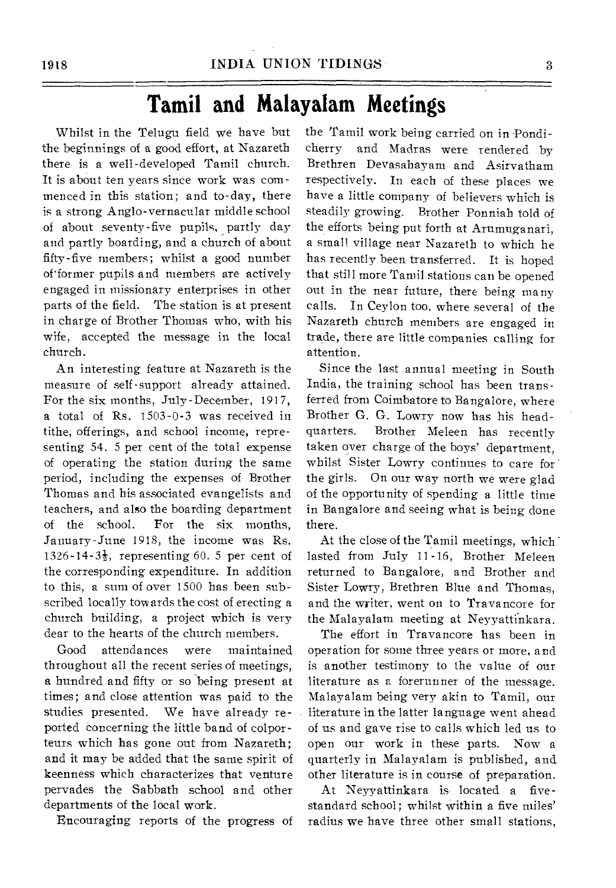## **Tamil and Malayalam Meetings**

Whilst in the Telugu field we have but the beginnings of a good effort, at Nazareth there is a well-developed Tamil church. It is about ten years since work was commenced in this station; and to-day, there is a strong Anglo-vernacular middle school of about seventy-five pupils, partly day and partly boarding, and a church of about fifty-five members; whilst a good number of former pupils and members are actively engaged in missionary enterprises in other parts of the field. The station is at present in charge of Brother Thomas who, with his wife, accepted the message in the local church.

An interesting feature at Nazareth is the measure of self -support already attained. For the six months, July-December, 1917, a total of Rs. 1503-0-3 was received in tithe, offerings, and school income, representing 54. 5 per cent of the total expense of operating the station during the same period, including the expenses of Brother Thomas and his associated evangelists and teachers, and also the boarding department of the school. For the six months, January-June 1918, the income was Rs. 1326-14-3 $\frac{1}{2}$ , representing 60. 5 per cent of the corresponding expenditure. In addition to this, a sum of over 1500 has been subscribed locally towards the cost of erecting a church building, a project which is very dear to the hearts of the church members.

Good attendances were maintained throughout all the recent series of meetings, a hundred and fifty or so being present at times; and close attention was paid to the studies presented. We have already reported concerning the little band of colporteurs which has gone out from Nazareth; and it may be added that the same spirit of keenness which characterizes that venture pervades the Sabbath school and other departments of the local work.

Encouraging reports of the progress of

the Tamil work being carried on in Pondicherry and Madras were rendered by Brethren Devasahayam and Asirvatham respectively. In each of these places we have a little company of believers which is steadily growing. Brother Ponniah told of the efforts being put forth at Arumuganari, a small village near Nazareth to which he has recently been transferred. It is hoped that still more Tamil stations can be opened out in the near future, there being many calls. In Ceylon too, where several of the Nazareth church members are engaged in trade, there are little companies calling for attention.

Since the last annual meeting in South India, the training school has been transferred from Coimbatore to Bangalore, where Brother G. G. Lowry now has his headquarters. Brother Meleen has recently taken over charge of the boys' department, whilst Sister Lowry continues to care for the girls. On our way north we were glad of the opportunity of spending a little time in Bangalore and seeing what is being done there.

At the close of the Tamil meetings, which lasted from July 11-16, Brother Meleen returned to Bangalore, and Brother and Sister Lowry, Brethren Blue and Thomas, and the writer, went on to Travancore for the Malayalam meeting at Neyyattinkara.

The effort in Travancore has been in operation for some three years or more, and is another testimony to the value of our literature as a forerunner of the message. Malayalam being very akin to Tamil, our literature in the latter language went ahead of us and gave rise to calls which led us to open our work in these parts. Now a quarterly in Malayalam is published, and other literature is in course of preparation.

At Neyyattinkara is located a fivestandard school; whilst within a five miles' radius we have three other small stations,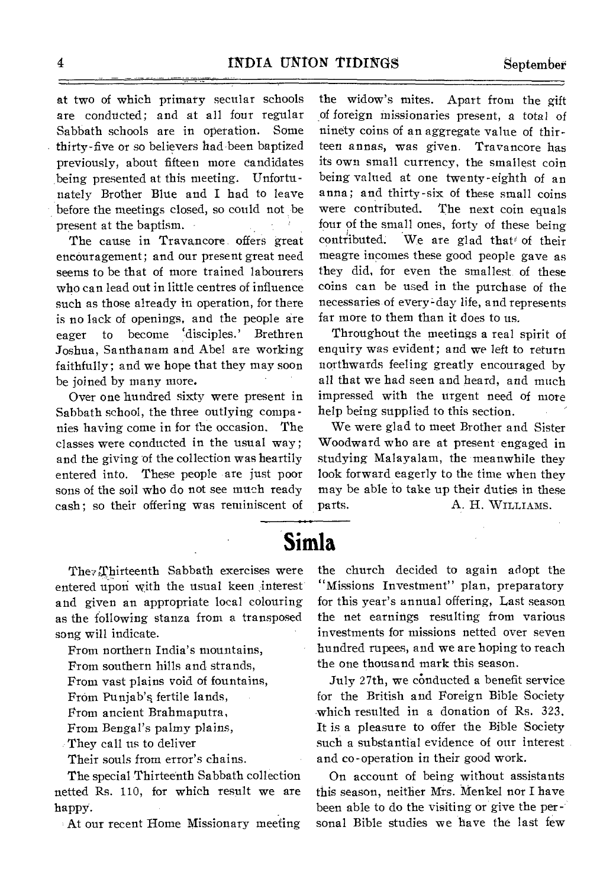at two of which primaty secular schools are conducted; and at all four regular Sabbath schools are in operation. Some thirty-five or so believers had been baptized previously, about fifteen more candidates being presented at this meeting. Unfortunately Brother Blue and I had to leave before the meetings closed, so could not be present at the baptism.

The cause in Travancore offers great encouragement; and our present great need seems to be that of more trained labourers who can lead out in little centres of influence such as those already in operation, for there is no lack of openings, and the people are eager to become 'disciples.' Brethren Joshua, Santhanam and Abel are working faithfully; and we hope that they may soon be joined by many more.

Over one hundred sixty were present in Sabbath school, the three outlying compa nies having come in for the occasion. The classes were conducted in the usual way ; and the giving of the collection was heartily entered into. These people are just poor sons of the soil who do not see much ready cash ; so their offering was reminiscent of

the widow's mites. Apart from the gift of foreign missionaries present, a total of ninety coins of an aggregate value of thirteen annas, was given. Travancore has its own small currency, the smallest coin being valued at one twenty-eighth of an anna; and thirty-six of these small coins were contributed. The next coin equals four of the small ones, forty of these being<br>contributed. We are glad that' of their meagre incomes these good people gave as they did, for even the smallest, of these coins can be used in the purchase of the necessaries of every=day life, and represents far more to them than it does to us.

Throughout the meetings a real spirit of enquiry was evident; and we left to return northwards feeling greatly encouraged by all that we had seen and heard, and much impressed with the urgent need of more help being supplied to this section.

We were glad to meet Brother and Sister Woodward who are at present engaged in studying Malayalam, the meanwhile they look forward eagerly to the time when they may be able to take up their duties in these parts. A. H. WILLIAMS.

## **Simla**

The<sub>7</sub>Thirteenth Sabbath exercises were entered upon with the usual keen interest and given an appropriate local colouring as the following stanza from a transposed song will indicate.

From northern India's mountains,

From southern hills and strands,

From vast plains void of fountains,

From Punjab's fertile lands,

From ancient Brahmaputra,

From Bengal's palmy plains,

They call us to deliver

Their souls from error's chains.

The special Thirteenth Sabbath collection netted Rs. 110, for which result we are happy.

At our recent Home Missionary meeting

the church decided to again adopt the "Missions Investment" plan, preparatory for this year's annual offering, Last season the net earnings resulting from various investments for missions netted over seven hundred rupees, and we are hoping to reach the one thousand mark this season.

July 27th, we conducted a benefit service for the British and Foreign Bible Society which resulted in a donation of Rs. 323. It is a pleasure to offer the Bible Society such a substantial evidence of our interest and co-operation in their good work.

On account of being without assistants this season, neither Mrs. Menkel nor I have been able to do the visiting or give the personal Bible studies we have the last few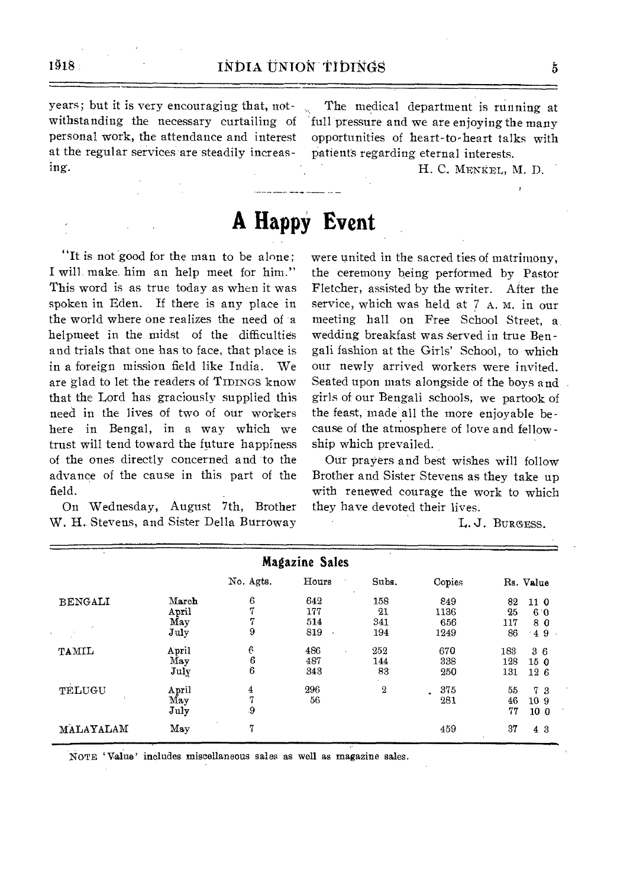years; but it is very encouraging that, notwithstanding the necessary curtailing of personal work, the attendance and interest at the regular services are steadily increasing.

The medical department is running at full pressure and we are enjoying the many opportunities of heart-to-heart talks with patients regarding eternal interests.

H. C. MENkEL, M. D.

## **A Happy Event**

"It is not good for the man to be alone; I will make him an help meet for him." This word is as true today as when it was spoken in Eden. If there is any place in the world where one realizes the need of a helpmeet in the midst of the difficulties and trials that one has to face, that place is in a foreign mission field like India. We are glad to let the readers of TIDINGS know that the Lord has graciously supplied this need in the lives of two of our workers here in Bengal, in a way which we trust will tend toward the future happiness of the ones directly concerned and to the advance of the cause in this part of the field.

On Wednesday, August 7th, Brother W. H. Stevens, and Sister Della Burroway

were united in the sacred ties of matrimony, the ceremony being performed by Pastor Fletcher, assisted by the writer. After the service, which was held at 7 A. M. in our meeting hall on Free School Street, a. wedding breakfast was served in true Bengali fashion at the Girls' School, to which our newly arrived workers were invited. Seated upon mats alongside of the boys and girls of our Bengali schools, we partook of the feast, made all the more enjoyable because of the atmosphere of love and fellowship which prevailed.

Our prayers and best wishes will follow Brother and Sister Stevens as they take up with renewed courage the work to which they have devoted their lives.

L. J. BURGESS.

| <b>Magazine Sales</b>                  |       |           |                   |                  |        |     |                 |  |  |
|----------------------------------------|-------|-----------|-------------------|------------------|--------|-----|-----------------|--|--|
|                                        |       | No. Agts. | Hours             | Subs.            | Copies |     | Rs. Value       |  |  |
| <b>BENGALI</b><br>$\ddot{\phantom{a}}$ | March | 6         | 642               | 158              | 849    | 82  | 11 <sub>0</sub> |  |  |
|                                        | April | 7         | 177               | 21               | 1136   | 25  | 6 0             |  |  |
|                                        | May   | 7         | 514               | 341              | 656    | 117 | 80              |  |  |
|                                        | July  | 9         | 819<br>$\cdot$    | 194              | 1249   | 86  | 49              |  |  |
| TAMIL                                  | April | 6         | 486<br>$\epsilon$ | 252              | 670    | 183 | 36              |  |  |
|                                        | May   | 6         | 487               | 144              | 338    | 128 | 150             |  |  |
|                                        | July  | 6         | 343               | 83               | 250    | 131 | 126             |  |  |
| TELUGU                                 | April | 4         | 296               | $\boldsymbol{2}$ | 375    | 55  | 73              |  |  |
|                                        | May   | 7         | 56                |                  | 281    | 46  | 109             |  |  |
|                                        | July  | .9        |                   |                  |        | 77  | 10 <sub>0</sub> |  |  |
| MALAYALAM                              | May   | 7         |                   |                  | 459    | 37  | 43              |  |  |

NOTE 'Value' includes miscellaneous sales as well as magazine sales.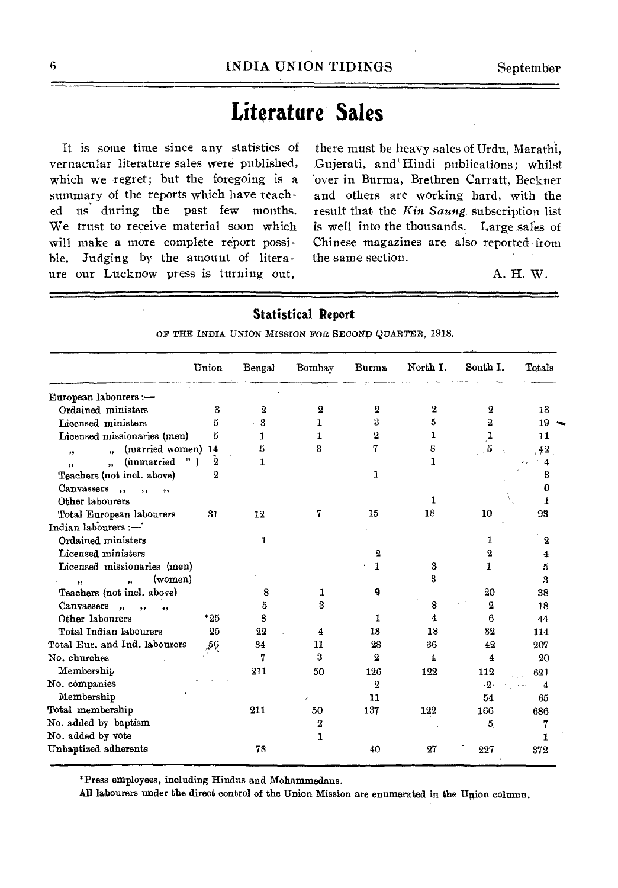## **Literature Sales**

It is some time since any statistics of vernacular literature sales were published, which we regret; but the foregoing is a summary of the reports which have reached us during the past few months. We trust to receive material soon which will make a more complete report possible. Judging by the amount of literaure our Lucknow press is turning out,

there must be heavy sales of Urdu, Marathi, Gujerati, and Hindi publications; whilst over in Burma, Brethren Carratt, Beckner and others are working hard, with the result that the *Kin Saung* subscription list is well into the thousands. Large sales of Chinese magazines are also reported from the same section.

A. H. W.

| <b>Statistical Report</b>                                           |                               |                |                |                |                  |                 |                |  |  |
|---------------------------------------------------------------------|-------------------------------|----------------|----------------|----------------|------------------|-----------------|----------------|--|--|
| OF THE INDIA UNION MISSION FOR SECOND QUARTER, 1918.                |                               |                |                |                |                  |                 |                |  |  |
|                                                                     | Union                         | Bengal         | Bombay         | Burma          | North I.         | South I.        | Totals         |  |  |
| European labourers :-                                               |                               |                |                |                |                  |                 |                |  |  |
| Ordained ministers                                                  | 3                             | $\overline{2}$ | $\overline{2}$ | 2              | $\boldsymbol{2}$ | 2               | 13             |  |  |
| Licensed ministers                                                  | 5                             | 3              | 1              | 3              | 5                | 2               | 19             |  |  |
| Licensed missionaries (men)                                         | 5                             | $\mathbf{1}$   | 1              | $\overline{2}$ | 1                | 1               | 11             |  |  |
| (married women)<br>,<br>,                                           | 14                            | 5              | 3              | 7              | 8                | $\overline{5}$  | 42             |  |  |
| <i>(unmarried)</i><br>,,<br>,                                       | $\overline{\mathbf{2}}$<br>") | 1              |                |                | $\mathbf{1}$     |                 | 4              |  |  |
| Teachers (not incl. above)                                          | $\boldsymbol{2}$              |                |                | 1              |                  |                 | 3              |  |  |
| Canvassers<br>$\overline{\mathbf{u}}$<br>$\ddot{\phantom{1}}$<br>,, |                               |                |                |                |                  |                 | 0              |  |  |
| Other labourers                                                     |                               |                |                |                | 1                |                 | 1              |  |  |
| Total European labourers                                            | 31                            | 12             | 7              | 15             | 18               | 10              | 93             |  |  |
| Indian labourers :-                                                 |                               |                |                |                |                  |                 |                |  |  |
| Ordained ministers                                                  |                               | 1              |                |                |                  | 1               | $\overline{2}$ |  |  |
| Licensed ministers                                                  |                               |                |                | 2              |                  | 2               | 4              |  |  |
| Licensed missionaries (men)                                         |                               |                |                | 1              | 3                | 1               | 5              |  |  |
| (women)<br>$\bullet$<br>$^{\prime\prime}$                           |                               |                |                |                | 3                |                 | 3              |  |  |
| Teachers (not incl. above)                                          |                               | 8              | 1              | g              |                  | 20              | 38             |  |  |
| Canvassers,<br>,,<br>,,                                             |                               | 5              | 3              |                | 8                | $\overline{2}$  | 18             |  |  |
| Other labourers                                                     | $*25$                         | 8              |                | $\mathbf{1}$   | 4                | 6               | 44             |  |  |
| Total Indian labourers                                              | 25                            | 22             | 4              | 13             | 18               | 32              | 114            |  |  |
| Total Eur. and Ind. labourers                                       | 56                            | 34             | 11             | 28             | 36               | 42              | 207            |  |  |
| No. churches                                                        |                               | 7              | 3              | $\mathbf 2$    | $\overline{4}$   | $\overline{4}$  | 20             |  |  |
| Membership                                                          |                               | 211            | 50             | 126            | 122              | 112             | 621            |  |  |
| No. cómpanies                                                       |                               |                |                | 2              |                  | $\cdot 2 \cdot$ | $\overline{4}$ |  |  |
| Membership                                                          |                               |                |                | 11             |                  | 54              | 65             |  |  |
| Total membership                                                    |                               | 211            | 50             | 137            | 122              | 166             | 686            |  |  |
| No. added by baptism                                                |                               |                | 2              |                |                  | 5.              | 7              |  |  |
| No. added by vote                                                   |                               |                | 1              |                |                  |                 | 1              |  |  |
| Unbaptized adherents                                                |                               | 78             |                | 40             | 27               | 227             | 372            |  |  |

\*Press employees, including Hindus and Mohammedans.

All labourers under the direct control of the Union Mission are enumerated in the Union column,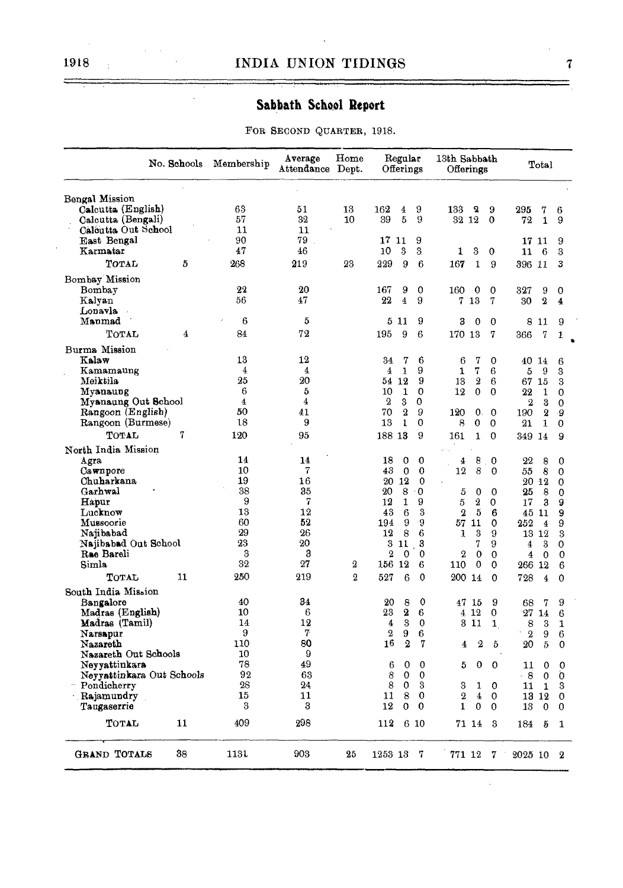### **Sabbath School Report**

FOR SECOND QUARTER, 1918.

|                           |    | No. Schools Membership  | Average<br>Attendance Dept. | $_{\rm Home}$    | Regular<br>Offerings                 | 13th Sabbath<br>Offerings            | Total                         |
|---------------------------|----|-------------------------|-----------------------------|------------------|--------------------------------------|--------------------------------------|-------------------------------|
| Bengal Mission            |    |                         |                             |                  |                                      |                                      |                               |
| Calcutta (English)        |    | 63                      | 51                          | 13               | 9<br>162<br>4                        | 133<br>2<br>9                        | 295<br>7<br>6                 |
| Calcutta (Bengali)        |    | 57                      | 32                          | 10               | 9<br>39<br>5                         | 32 12<br>$\mathbf{o}$                | 72<br>1<br>9                  |
| Calcutta Out School       |    | 11                      | 11                          |                  |                                      |                                      |                               |
| East Bengal               |    | 90                      | 79.                         |                  | 17<br>9<br>11                        |                                      | 9<br>17 11                    |
| Karmatar                  |    | 47                      | 46                          |                  | 3<br>10<br>3                         | 3<br>1<br>0                          | 6<br>3<br>11                  |
| TOTAL                     | 5  | 268                     | 219                         | 23               | 229<br>9<br>6                        | 167<br>$\mathbf{1}$<br>9             | 3<br>396 11                   |
| Bombay Mission            |    |                         |                             |                  |                                      |                                      |                               |
| Bombay                    |    | 22                      | 20                          |                  | 167<br>9<br>$\mathbf{0}$             | 160<br>0<br>0                        | 327<br>9<br>0                 |
| Kalyan                    |    | 56                      | 47                          |                  | 22<br>9<br>$\overline{4}$            | 7<br>$7\;13$                         | $\boldsymbol{2}$<br>30<br>4   |
| Lonavla<br>$\rightarrow$  |    |                         |                             |                  |                                      |                                      |                               |
| Manmad                    |    | 6                       | 5                           |                  | 9<br>5 11                            | 3<br>$\mathbf 0$<br>0                | 8<br>9<br>-11                 |
| TOTAL                     | 4  | 84                      | 72                          |                  | 6<br>195<br>9                        | 170 13<br>7                          | 366<br>7<br>1                 |
| Burma Mission             |    |                         |                             |                  |                                      |                                      |                               |
| Kalaw                     |    | 13                      | 12                          |                  | 6<br>34<br>7                         | 6<br>7<br>0                          | 40 14<br>6                    |
| Kamamaung                 |    | $\overline{\mathbf{4}}$ | 4                           |                  | $\mathbf{1}$<br>9<br>$\overline{4}$  | 7<br>$\mathbf{1}$<br>6               | 5<br>9<br>3                   |
| Meiktila                  |    | 25                      | 20                          |                  | 9<br>54 12                           | $\boldsymbol{2}$<br>6<br>13          | 67 15<br>3                    |
| Myanaung                  |    | 6                       | 5                           |                  | $\mathbf 0$<br>10<br>1               | 12<br>0<br>$\Omega$                  | 22<br>1<br>$\theta$           |
| Myanaung Out School       |    | $\overline{\mathbf{4}}$ | $\overline{4}$              |                  | $\boldsymbol{2}$<br>3<br>0           |                                      | 2<br>3<br>$\theta$            |
| Rangoon (English)         |    | 50                      | 41                          |                  | $\overline{2}$<br>9<br>70            | 0.<br>120<br>0                       | $\overline{2}$<br>190<br>۰9   |
| Rangoon (Burmese)         |    | 18                      | 9                           |                  | 13<br>$\mathbf{1}$<br>0              | 0<br>8<br>0                          | 1<br>$\mathbf 0$<br>21        |
| TOTAL                     | 7  | 120                     | 95                          |                  | 188 13<br>9                          | 161<br>$\mathbf{1}$<br>0             | 349 14<br>9                   |
| North India Mission       |    |                         |                             |                  |                                      |                                      |                               |
| Agra                      |    | 14                      | 14                          |                  | 18<br>0<br>0                         | 8<br>4<br>0                          | 22<br>8<br>0                  |
| Cawnpore                  |    | 10<br>19                | 7                           |                  | 43<br>$\mathbf 0$<br>$\mathbf 0$     | 8<br>12<br>0                         | 55<br>8<br>$\mathbf{0}$       |
| Chuharkana                |    | 38                      | 16<br>35                    |                  | 20 12<br>$\theta$<br>20<br>$\Omega$  |                                      | 20 12<br>$\theta$             |
| Garhwal<br>Hapur          |    | 9                       | 7                           |                  | 8<br>9<br>12<br>1                    | 5<br>$\circ$<br>0<br>5<br>2<br>0     | 25<br>8<br>0<br>3<br>9<br>17  |
| Lucknow                   |    | 13                      | 12                          |                  | 3<br>43<br>6                         | $\overline{5}$<br>$\bf{2}$<br>6      | 9<br>45 11                    |
| Mussoorie                 |    | 60                      | 52                          |                  | 9<br>194<br>9                        | 57 11<br>0                           | 9<br>252<br>$\overline{4}$    |
| Najibabad                 |    | 29                      | 26                          |                  | 12<br>8<br>6                         | 3<br>9<br>1                          | 13 12<br>3                    |
| Najibabad Out School      |    | 23                      | 20                          |                  | 3<br>3<br>11                         | 7<br>9                               | 3<br>0<br>4                   |
| Rae Bareli                |    | 3                       | 3                           |                  | $\boldsymbol{2}$<br>$\mathbf 0$<br>0 | $\boldsymbol{2}$<br>0<br>$\mathbf 0$ | 4<br>$\mathbf{0}$<br>$\theta$ |
| Simla                     |    | 32                      | 27                          | $\boldsymbol{2}$ | 156 12<br>6                          | 0<br>0<br>110                        | 266 12<br>6                   |
| TOTAL                     | 11 | 250                     | 219                         | $\overline{2}$   | 527<br>$\mathbf{0}$<br>6             | 200 14<br>$\mathbf 0$                | 728<br>0<br>$\overline{4}$    |
| South India Mission       |    |                         |                             |                  |                                      |                                      |                               |
| Bangalore                 |    | 40                      | 34                          |                  | 20<br>8<br>0                         | 9<br>47 15                           | 9<br>68<br>7                  |
| Madras (English)          |    | 10                      | 6                           |                  | 23<br>$\mathbf 2$<br>6               | 4 1 2<br>0                           | 27 14<br>6                    |
| Madras (Tamil)            |    | 14                      | 12                          |                  | $\mathbf{s}$<br>$\mathbf 0$<br>4     | $3\,11$<br>1                         | 3<br>8<br>1                   |
| Narsapur                  |    | 9                       | 7                           |                  | $\mathbf{2}$<br>9<br>6               |                                      | $\overline{2}$<br>9<br>6      |
| Nazareth                  |    | 110                     | 80                          |                  | 7<br>16<br>$\boldsymbol{2}$          | $\boldsymbol{2}$<br>5<br>4           | 5<br>$\theta$<br>20           |
| Nazareth Out Schools      |    | 10                      | 9                           |                  |                                      |                                      |                               |
| Neyyattinkara             |    | 78<br>92                | 49<br>63                    |                  | 6<br>0<br>0<br>8<br>0<br>$\mathbf 0$ | 0<br>5<br>0                          | 11<br>$\Omega$<br>0           |
| Neyyattinkara Out Schools |    | 28                      | 24                          |                  | 3<br>8<br>$\mathbf 0$                | 3<br>1<br>$\mathbf 0$                | 0<br>- 8<br>0<br>3<br>11      |
| Pondicherry<br>Rajamundry |    | 15                      | 11                          |                  | $\mathbf{0}$<br>11<br>8              | $\overline{2}$<br>4<br>0             | 1<br>$\mathbf{0}$<br>13 12    |
| Taugaserrie               |    | 3                       | 3                           |                  | 12<br>$\theta$<br>0                  | 1<br>0<br>0                          | 18<br>0<br>0                  |
| <b>TOTAL</b>              | 11 | 409                     | 298                         |                  | 112<br>6 10                          | 71 14<br>3                           | 184<br>5<br>1                 |
| GRAND TOTALS              | 38 | 1131                    | 903                         | 25               | 7<br>1253 13                         | 771 12<br>7                          | 2025 10<br>$\boldsymbol{2}$   |

l,